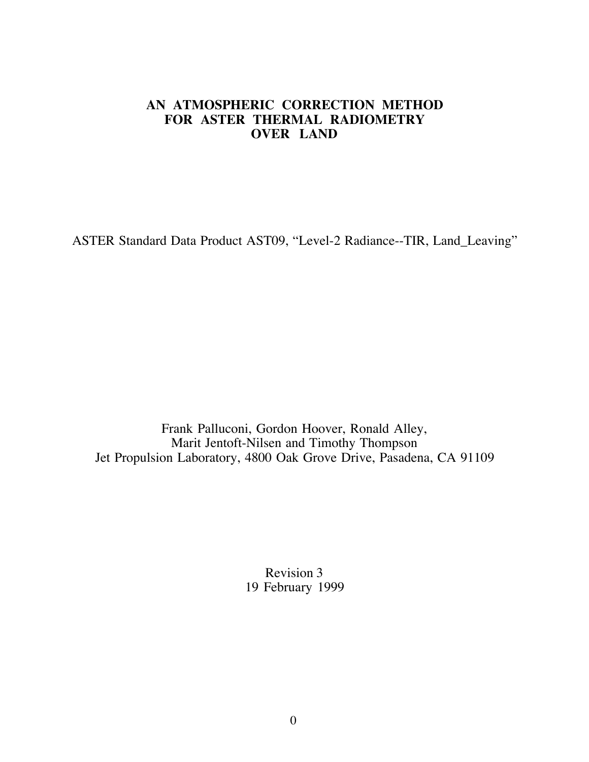## **AN ATMOSPHERIC CORRECTION METHOD FOR ASTER THERMAL RADIOMETRY OVER LAND**

ASTER Standard Data Product AST09, "Level-2 Radiance--TIR, Land\_Leaving"

Frank Palluconi, Gordon Hoover, Ronald Alley, Marit Jentoft-Nilsen and Timothy Thompson Jet Propulsion Laboratory, 4800 Oak Grove Drive, Pasadena, CA 91109

> Revision 3 19 February 1999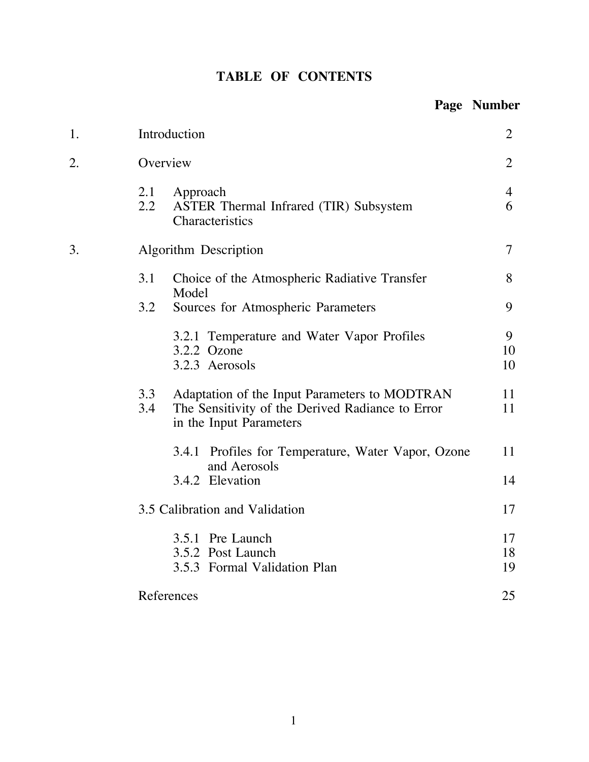|  |  | <b>TABLE OF CONTENTS</b> |
|--|--|--------------------------|
|--|--|--------------------------|

|    |                                                                                                                                            | Page Number    |
|----|--------------------------------------------------------------------------------------------------------------------------------------------|----------------|
| 1. | Introduction                                                                                                                               | $\overline{2}$ |
| 2. | Overview                                                                                                                                   | $\overline{2}$ |
|    | 2.1<br>Approach<br>$2.2\phantom{0}$<br>ASTER Thermal Infrared (TIR) Subsystem<br>Characteristics                                           | 4<br>6         |
| 3. | Algorithm Description                                                                                                                      | 7              |
|    | 3.1<br>Choice of the Atmospheric Radiative Transfer                                                                                        | 8              |
|    | Model<br>3.2<br>Sources for Atmospheric Parameters                                                                                         | 9              |
|    | 3.2.1 Temperature and Water Vapor Profiles<br>3.2.2 Ozone<br>3.2.3 Aerosols                                                                | 9<br>10<br>10  |
|    | 3.3<br>Adaptation of the Input Parameters to MODTRAN<br>The Sensitivity of the Derived Radiance to Error<br>3.4<br>in the Input Parameters | 11<br>11       |
|    | Profiles for Temperature, Water Vapor, Ozone<br>3.4.1<br>and Aerosols                                                                      | 11             |
|    | 3.4.2 Elevation                                                                                                                            | 14             |
|    | 3.5 Calibration and Validation                                                                                                             | 17             |
|    | 3.5.1 Pre Launch<br>3.5.2 Post Launch<br>3.5.3 Formal Validation Plan                                                                      | 17<br>18<br>19 |
|    | References                                                                                                                                 | 25             |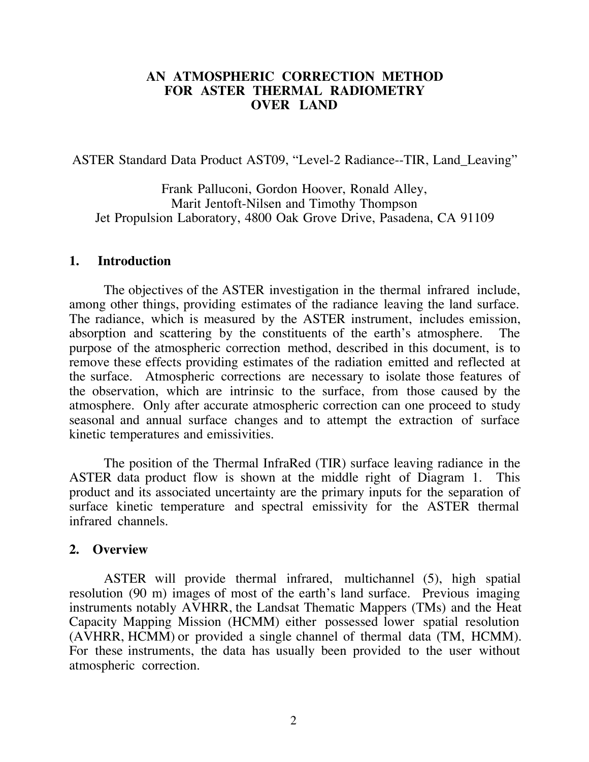#### **AN ATMOSPHERIC CORRECTION METHOD FOR ASTER THERMAL RADIOMETRY OVER LAND**

ASTER Standard Data Product AST09, "Level-2 Radiance--TIR, Land\_Leaving"

Frank Palluconi, Gordon Hoover, Ronald Alley, Marit Jentoft-Nilsen and Timothy Thompson Jet Propulsion Laboratory, 4800 Oak Grove Drive, Pasadena, CA 91109

#### **1. Introduction**

The objectives of the ASTER investigation in the thermal infrared include, among other things, providing estimates of the radiance leaving the land surface. The radiance, which is measured by the ASTER instrument, includes emission, absorption and scattering by the constituents of the earth's atmosphere. The purpose of the atmospheric correction method, described in this document, is to remove these effects providing estimates of the radiation emitted and reflected at the surface. Atmospheric corrections are necessary to isolate those features of the observation, which are intrinsic to the surface, from those caused by the atmosphere. Only after accurate atmospheric correction can one proceed to study seasonal and annual surface changes and to attempt the extraction of surface kinetic temperatures and emissivities.

The position of the Thermal InfraRed (TIR) surface leaving radiance in the ASTER data product flow is shown at the middle right of Diagram 1. This product and its associated uncertainty are the primary inputs for the separation of surface kinetic temperature and spectral emissivity for the ASTER thermal infrared channels.

#### **2. Overview**

ASTER will provide thermal infrared, multichannel (5), high spatial resolution (90 m) images of most of the earth's land surface. Previous imaging instruments notably AVHRR, the Landsat Thematic Mappers (TMs) and the Heat Capacity Mapping Mission (HCMM) either possessed lower spatial resolution (AVHRR, HCMM) or provided a single channel of thermal data (TM, HCMM). For these instruments, the data has usually been provided to the user without atmospheric correction.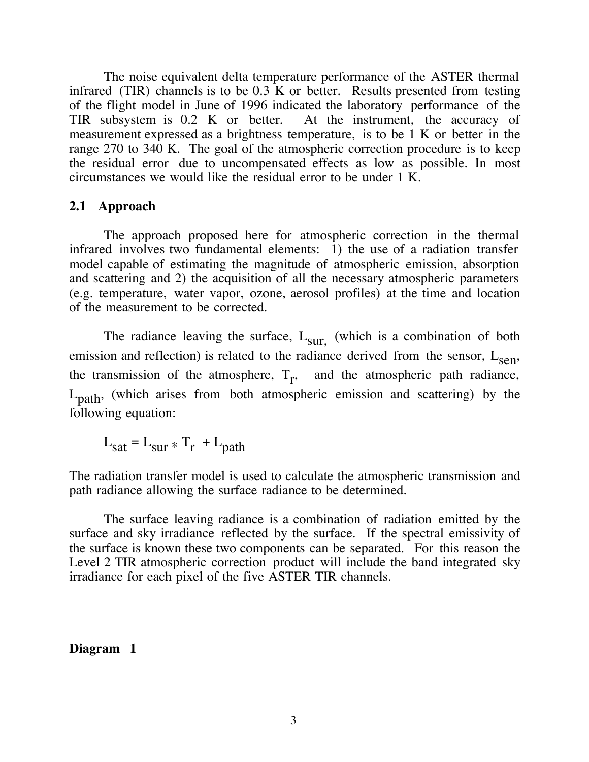The noise equivalent delta temperature performance of the ASTER thermal infrared (TIR) channels is to be 0.3 K or better. Results presented from testing of the flight model in June of 1996 indicated the laboratory performance of the TIR subsystem is 0.2 K or better. At the instrument, the accuracy of measurement expressed as a brightness temperature, is to be 1 K or better in the range 270 to 340 K. The goal of the atmospheric correction procedure is to keep the residual error due to uncompensated effects as low as possible. In most circumstances we would like the residual error to be under 1 K.

#### **2.1 Approach**

The approach proposed here for atmospheric correction in the thermal infrared involves two fundamental elements: 1) the use of a radiation transfer model capable of estimating the magnitude of atmospheric emission, absorption and scattering and 2) the acquisition of all the necessary atmospheric parameters (e.g. temperature, water vapor, ozone, aerosol profiles) at the time and location of the measurement to be corrected.

The radiance leaving the surface,  $L_{\text{sur}}$ , (which is a combination of both emission and reflection) is related to the radiance derived from the sensor,  $L_{\text{sen}}$ , the transmission of the atmosphere,  $T_r$ , and the atmospheric path radiance, Lpath, (which arises from both atmospheric emission and scattering) by the following equation:

 $L_{\text{sat}} = L_{\text{sur}} * T_{\text{r}} + L_{\text{path}}$ 

The radiation transfer model is used to calculate the atmospheric transmission and path radiance allowing the surface radiance to be determined.

The surface leaving radiance is a combination of radiation emitted by the surface and sky irradiance reflected by the surface. If the spectral emissivity of the surface is known these two components can be separated. For this reason the Level 2 TIR atmospheric correction product will include the band integrated sky irradiance for each pixel of the five ASTER TIR channels.

#### **Diagram 1**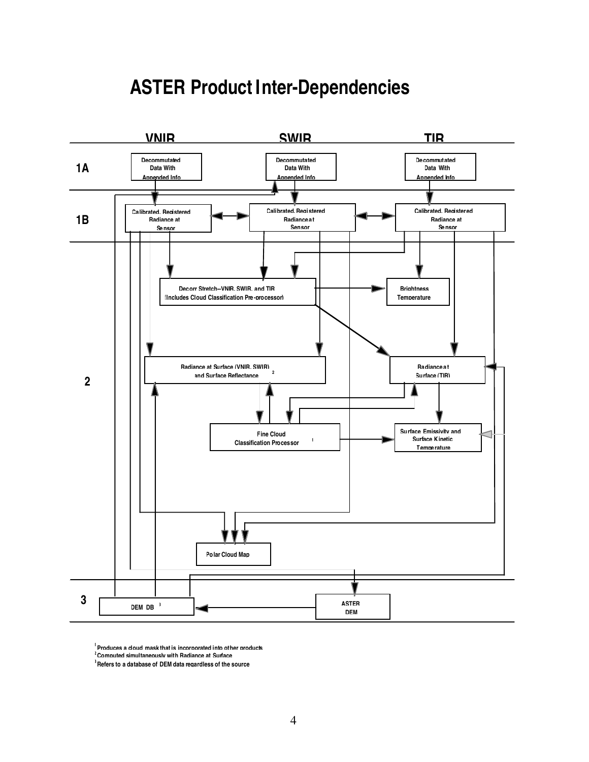

# **ASTER Product Inter-Dependencies**

**1 Produces a cloud mask that is incorporated into other products**

**2Computed simultaneously with Radiance at Surface**

**3 Refers to a database of DEM data regardless of the source**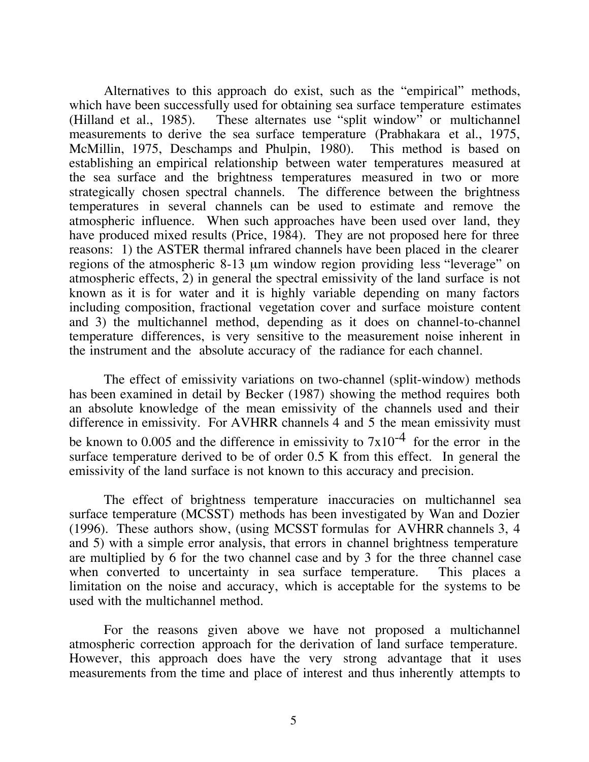Alternatives to this approach do exist, such as the "empirical" methods, which have been successfully used for obtaining sea surface temperature estimates (Hilland et al., 1985). These alternates use "split window" or multichannel measurements to derive the sea surface temperature (Prabhakara et al., 1975, McMillin, 1975, Deschamps and Phulpin, 1980). This method is based on establishing an empirical relationship between water temperatures measured at the sea surface and the brightness temperatures measured in two or more strategically chosen spectral channels. The difference between the brightness temperatures in several channels can be used to estimate and remove the atmospheric influence. When such approaches have been used over land, they have produced mixed results (Price, 1984). They are not proposed here for three reasons: 1) the ASTER thermal infrared channels have been placed in the clearer regions of the atmospheric 8-13 µm window region providing less "leverage" on atmospheric effects, 2) in general the spectral emissivity of the land surface is not known as it is for water and it is highly variable depending on many factors including composition, fractional vegetation cover and surface moisture content and 3) the multichannel method, depending as it does on channel-to-channel temperature differences, is very sensitive to the measurement noise inherent in the instrument and the absolute accuracy of the radiance for each channel.

The effect of emissivity variations on two-channel (split-window) methods has been examined in detail by Becker (1987) showing the method requires both an absolute knowledge of the mean emissivity of the channels used and their difference in emissivity. For AVHRR channels 4 and 5 the mean emissivity must be known to 0.005 and the difference in emissivity to  $7x10^{-4}$  for the error in the surface temperature derived to be of order 0.5 K from this effect. In general the emissivity of the land surface is not known to this accuracy and precision.

The effect of brightness temperature inaccuracies on multichannel sea surface temperature (MCSST) methods has been investigated by Wan and Dozier (1996). These authors show, (using MCSST formulas for AVHRR channels 3, 4 and 5) with a simple error analysis, that errors in channel brightness temperature are multiplied by 6 for the two channel case and by 3 for the three channel case when converted to uncertainty in sea surface temperature. This places a limitation on the noise and accuracy, which is acceptable for the systems to be used with the multichannel method.

For the reasons given above we have not proposed a multichannel atmospheric correction approach for the derivation of land surface temperature. However, this approach does have the very strong advantage that it uses measurements from the time and place of interest and thus inherently attempts to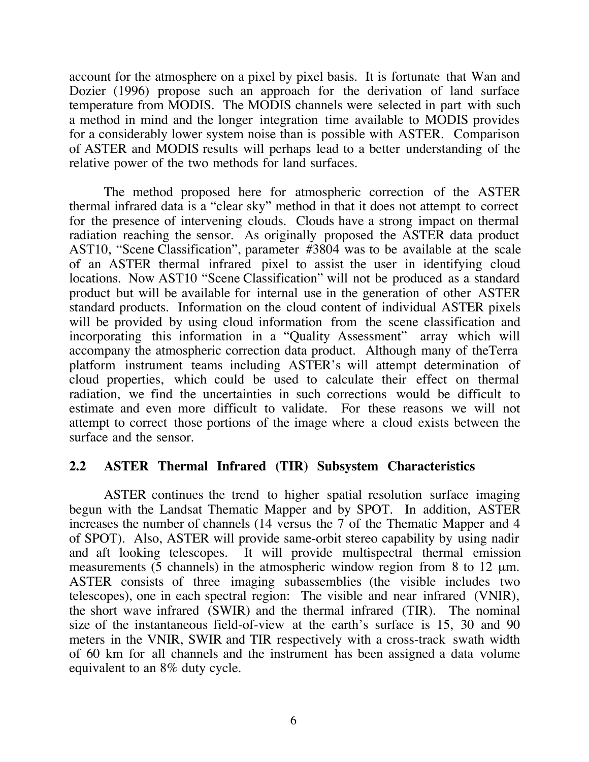account for the atmosphere on a pixel by pixel basis. It is fortunate that Wan and Dozier (1996) propose such an approach for the derivation of land surface temperature from MODIS. The MODIS channels were selected in part with such a method in mind and the longer integration time available to MODIS provides for a considerably lower system noise than is possible with ASTER. Comparison of ASTER and MODIS results will perhaps lead to a better understanding of the relative power of the two methods for land surfaces.

The method proposed here for atmospheric correction of the ASTER thermal infrared data is a "clear sky" method in that it does not attempt to correct for the presence of intervening clouds. Clouds have a strong impact on thermal radiation reaching the sensor. As originally proposed the ASTER data product AST10, "Scene Classification", parameter #3804 was to be available at the scale of an ASTER thermal infrared pixel to assist the user in identifying cloud locations. Now AST10 "Scene Classification" will not be produced as a standard product but will be available for internal use in the generation of other ASTER standard products. Information on the cloud content of individual ASTER pixels will be provided by using cloud information from the scene classification and incorporating this information in a "Quality Assessment" array which will accompany the atmospheric correction data product. Although many of theTerra platform instrument teams including ASTER's will attempt determination of cloud properties, which could be used to calculate their effect on thermal radiation, we find the uncertainties in such corrections would be difficult to estimate and even more difficult to validate. For these reasons we will not attempt to correct those portions of the image where a cloud exists between the surface and the sensor.

#### **2.2 ASTER Thermal Infrared (TIR) Subsystem Characteristics**

ASTER continues the trend to higher spatial resolution surface imaging begun with the Landsat Thematic Mapper and by SPOT. In addition, ASTER increases the number of channels (14 versus the 7 of the Thematic Mapper and 4 of SPOT). Also, ASTER will provide same-orbit stereo capability by using nadir and aft looking telescopes. It will provide multispectral thermal emission measurements (5 channels) in the atmospheric window region from 8 to 12  $\mu$ m. ASTER consists of three imaging subassemblies (the visible includes two telescopes), one in each spectral region: The visible and near infrared (VNIR), the short wave infrared (SWIR) and the thermal infrared (TIR). The nominal size of the instantaneous field-of-view at the earth's surface is 15, 30 and 90 meters in the VNIR, SWIR and TIR respectively with a cross-track swath width of 60 km for all channels and the instrument has been assigned a data volume equivalent to an 8% duty cycle.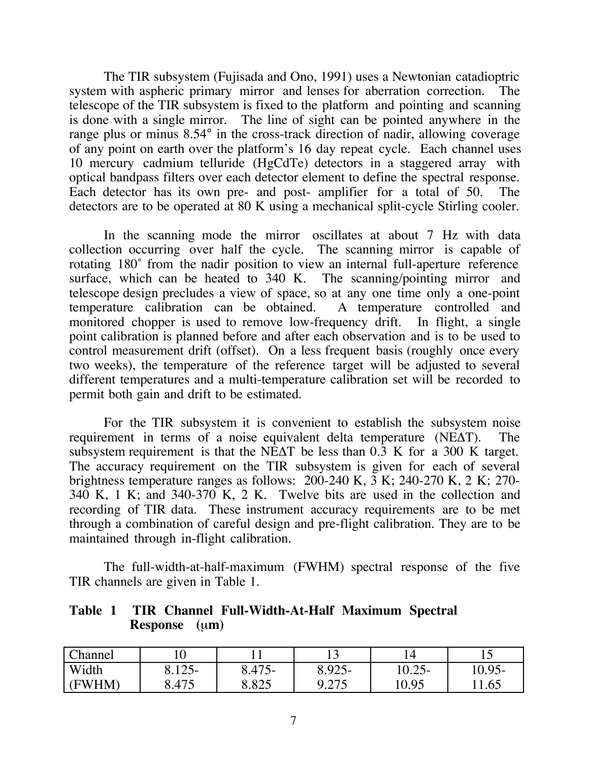The TIR subsystem (Fujisada and Ono, 1991) uses a Newtonian catadioptric system with aspheric primary mirror and lenses for aberration correction. The telescope of the TIR subsystem is fixed to the platform and pointing and scanning is done with a single mirror. The line of sight can be pointed anywhere in the range plus or minus 8.54° in the cross-track direction of nadir, allowing coverage of any point on earth over the platform's 16 day repeat cycle. Each channel uses 10 mercury cadmium telluride (HgCdTe) detectors in a staggered array with optical bandpass filters over each detector element to define the spectral response. Each detector has its own pre- and post- amplifier for a total of 50. The detectors are to be operated at 80 K using a mechanical split-cycle Stirling cooler.

In the scanning mode the mirror oscillates at about 7 Hz with data collection occurring over half the cycle. The scanning mirror is capable of rotating 180˚ from the nadir position to view an internal full-aperture reference surface, which can be heated to 340 K. The scanning/pointing mirror and telescope design precludes a view of space, so at any one time only a one-point temperature calibration can be obtained. A temperature controlled and monitored chopper is used to remove low-frequency drift. In flight, a single point calibration is planned before and after each observation and is to be used to control measurement drift (offset). On a less frequent basis (roughly once every two weeks), the temperature of the reference target will be adjusted to several different temperatures and a multi-temperature calibration set will be recorded to permit both gain and drift to be estimated.

For the TIR subsystem it is convenient to establish the subsystem noise requirement in terms of a noise equivalent delta temperature  $(NE\Delta T)$ . The subsystem requirement is that the NE $\Delta$ T be less than 0.3 K for a 300 K target. The accuracy requirement on the TIR subsystem is given for each of several brightness temperature ranges as follows: 200-240 K, 3 K; 240-270 K, 2 K; 270- 340 K, 1 K; and 340-370 K, 2 K. Twelve bits are used in the collection and recording of TIR data. These instrument accuracy requirements are to be met through a combination of careful design and pre-flight calibration. They are to be maintained through in-flight calibration.

The full-width-at-half-maximum (FWHM) spectral response of the five TIR channels are given in Table 1.

**Table 1 TIR Channel Full-Width-At-Half Maximum Spectral Response** (µ**m**)

| Channel |                       |                              | ⊥ັ                | 14                       |          |
|---------|-----------------------|------------------------------|-------------------|--------------------------|----------|
| Width   | $1 \cap F$<br>$12J^-$ | $A \sqcap \subset$<br>0.472- | 8.925-            | 10 $\Omega$<br>$10.23 -$ | $0.95 -$ |
| (FWHM)  | 8.475                 | ο οης<br>ر∠ن.ر               | 0.275<br>ل ا ⊿، ′ | 10.95                    | .65      |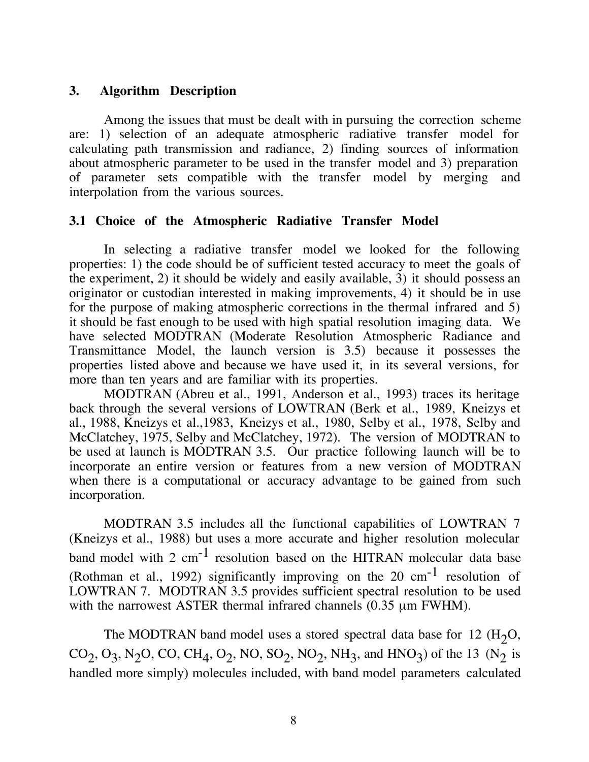## **3. Algorithm Description**

Among the issues that must be dealt with in pursuing the correction scheme are: 1) selection of an adequate atmospheric radiative transfer model for calculating path transmission and radiance, 2) finding sources of information about atmospheric parameter to be used in the transfer model and 3) preparation of parameter sets compatible with the transfer model by merging interpolation from the various sources.

## **3.1 Choice of the Atmospheric Radiative Transfer Model**

In selecting a radiative transfer model we looked for the following properties: 1) the code should be of sufficient tested accuracy to meet the goals of the experiment, 2) it should be widely and easily available, 3) it should possess an originator or custodian interested in making improvements, 4) it should be in use for the purpose of making atmospheric corrections in the thermal infrared and 5) it should be fast enough to be used with high spatial resolution imaging data. We have selected MODTRAN (Moderate Resolution Atmospheric Radiance and Transmittance Model, the launch version is 3.5) because it possesses the properties listed above and because we have used it, in its several versions, for more than ten years and are familiar with its properties.

MODTRAN (Abreu et al., 1991, Anderson et al., 1993) traces its heritage back through the several versions of LOWTRAN (Berk et al., 1989, Kneizys et al., 1988, Kneizys et al.,1983, Kneizys et al., 1980, Selby et al., 1978, Selby and McClatchey, 1975, Selby and McClatchey, 1972). The version of MODTRAN to be used at launch is MODTRAN 3.5. Our practice following launch will be to incorporate an entire version or features from a new version of MODTRAN when there is a computational or accuracy advantage to be gained from such incorporation.

MODTRAN 3.5 includes all the functional capabilities of LOWTRAN 7 (Kneizys et al., 1988) but uses a more accurate and higher resolution molecular band model with  $2 \text{ cm}^{-1}$  resolution based on the HITRAN molecular data base (Rothman et al., 1992) significantly improving on the 20  $cm^{-1}$  resolution of LOWTRAN 7. MODTRAN 3.5 provides sufficient spectral resolution to be used with the narrowest ASTER thermal infrared channels  $(0.35 \mu m$  FWHM).

The MODTRAN band model uses a stored spectral data base for 12  $(H<sub>2</sub>O)$ ,  $CO_2$ ,  $O_3$ , N<sub>2</sub>O, CO, CH<sub>4</sub>, O<sub>2</sub>, NO, SO<sub>2</sub>, NO<sub>2</sub>, NH<sub>3</sub>, and HNO<sub>3</sub>) of the 13 (N<sub>2</sub> is handled more simply) molecules included, with band model parameters calculated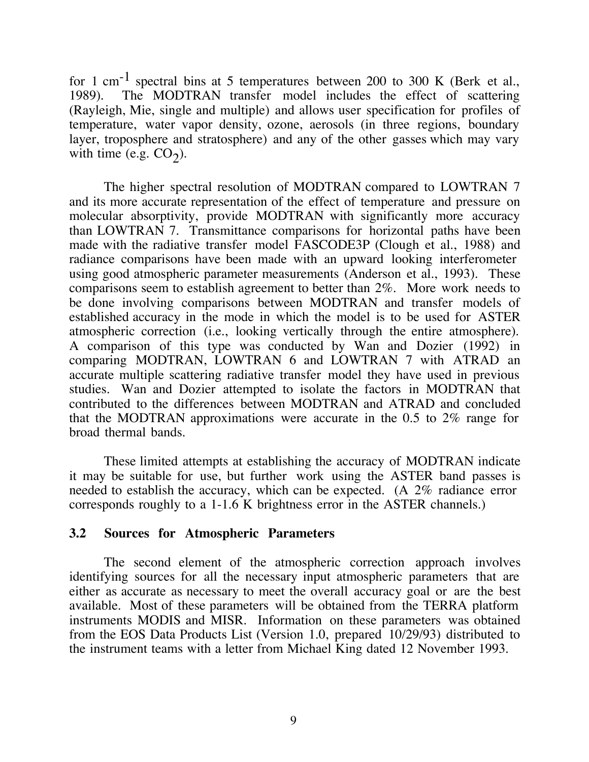for 1 cm<sup>-1</sup> spectral bins at 5 temperatures between 200 to 300 K (Berk et al., 1989). The MODTRAN transfer model includes the effect of scattering (Rayleigh, Mie, single and multiple) and allows user specification for profiles of temperature, water vapor density, ozone, aerosols (in three regions, boundary layer, troposphere and stratosphere) and any of the other gasses which may vary with time (e.g.  $CO<sub>2</sub>$ ).

The higher spectral resolution of MODTRAN compared to LOWTRAN 7 and its more accurate representation of the effect of temperature and pressure on molecular absorptivity, provide MODTRAN with significantly more accuracy than LOWTRAN 7. Transmittance comparisons for horizontal paths have been made with the radiative transfer model FASCODE3P (Clough et al., 1988) and radiance comparisons have been made with an upward looking interferometer using good atmospheric parameter measurements (Anderson et al., 1993). These comparisons seem to establish agreement to better than 2%. More work needs to be done involving comparisons between MODTRAN and transfer models of established accuracy in the mode in which the model is to be used for ASTER atmospheric correction (i.e., looking vertically through the entire atmosphere). A comparison of this type was conducted by Wan and Dozier (1992) in comparing MODTRAN, LOWTRAN 6 and LOWTRAN 7 with ATRAD an accurate multiple scattering radiative transfer model they have used in previous studies. Wan and Dozier attempted to isolate the factors in MODTRAN that contributed to the differences between MODTRAN and ATRAD and concluded that the MODTRAN approximations were accurate in the 0.5 to 2% range for broad thermal bands.

These limited attempts at establishing the accuracy of MODTRAN indicate it may be suitable for use, but further work using the ASTER band passes is needed to establish the accuracy, which can be expected. (A 2% radiance error corresponds roughly to a 1-1.6 K brightness error in the ASTER channels.)

#### **3.2 Sources for Atmospheric Parameters**

The second element of the atmospheric correction approach involves identifying sources for all the necessary input atmospheric parameters that are either as accurate as necessary to meet the overall accuracy goal or are the best available. Most of these parameters will be obtained from the TERRA platform instruments MODIS and MISR. Information on these parameters was obtained from the EOS Data Products List (Version 1.0, prepared 10/29/93) distributed to the instrument teams with a letter from Michael King dated 12 November 1993.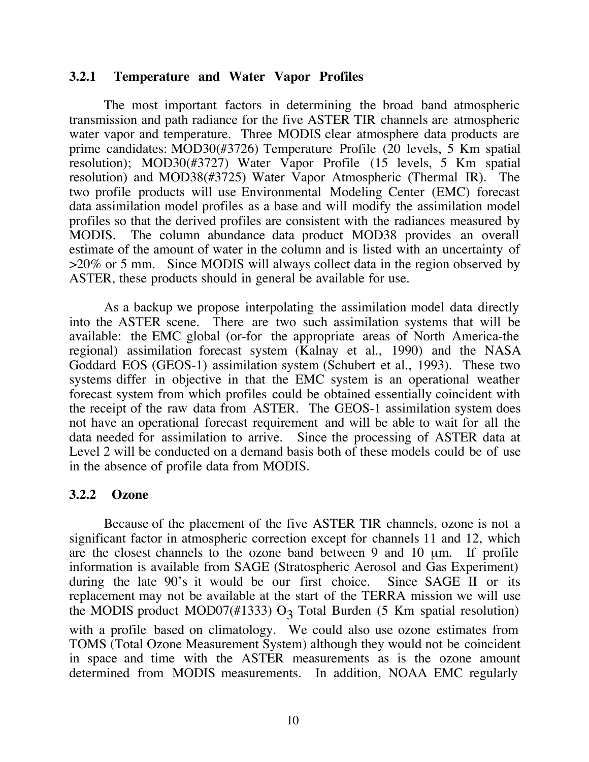#### **3.2.1 Temperature and Water Vapor Profiles**

The most important factors in determining the broad band atmospheric transmission and path radiance for the five ASTER TIR channels are atmospheric water vapor and temperature. Three MODIS clear atmosphere data products are prime candidates: MOD30(#3726) Temperature Profile (20 levels, 5 Km spatial resolution); MOD30(#3727) Water Vapor Profile (15 levels, 5 Km spatial resolution) and MOD38(#3725) Water Vapor Atmospheric (Thermal IR). The two profile products will use Environmental Modeling Center (EMC) forecast data assimilation model profiles as a base and will modify the assimilation model profiles so that the derived profiles are consistent with the radiances measured by MODIS. The column abundance data product MOD38 provides an overall estimate of the amount of water in the column and is listed with an uncertainty of >20% or 5 mm. Since MODIS will always collect data in the region observed by ASTER, these products should in general be available for use.

As a backup we propose interpolating the assimilation model data directly into the ASTER scene. There are two such assimilation systems that will be available: the EMC global (or-for the appropriate areas of North America-the regional) assimilation forecast system (Kalnay et al., 1990) and the NASA Goddard EOS (GEOS-1) assimilation system (Schubert et al., 1993). These two systems differ in objective in that the EMC system is an operational weather forecast system from which profiles could be obtained essentially coincident with the receipt of the raw data from ASTER. The GEOS-1 assimilation system does not have an operational forecast requirement and will be able to wait for all the data needed for assimilation to arrive. Since the processing of ASTER data at Level 2 will be conducted on a demand basis both of these models could be of use in the absence of profile data from MODIS.

#### **3.2.2 Ozone**

Because of the placement of the five ASTER TIR channels, ozone is not a significant factor in atmospheric correction except for channels 11 and 12, which are the closest channels to the ozone band between 9 and 10  $\mu$ m. If profile information is available from SAGE (Stratospheric Aerosol and Gas Experiment) during the late 90's it would be our first choice. Since SAGE II or its replacement may not be available at the start of the TERRA mission we will use the MODIS product MOD07(#1333)  $O_3$  Total Burden (5 Km spatial resolution) with a profile based on climatology. We could also use ozone estimates from TOMS (Total Ozone Measurement System) although they would not be coincident in space and time with the ASTER measurements as is the ozone amount determined from MODIS measurements. In addition, NOAA EMC regularly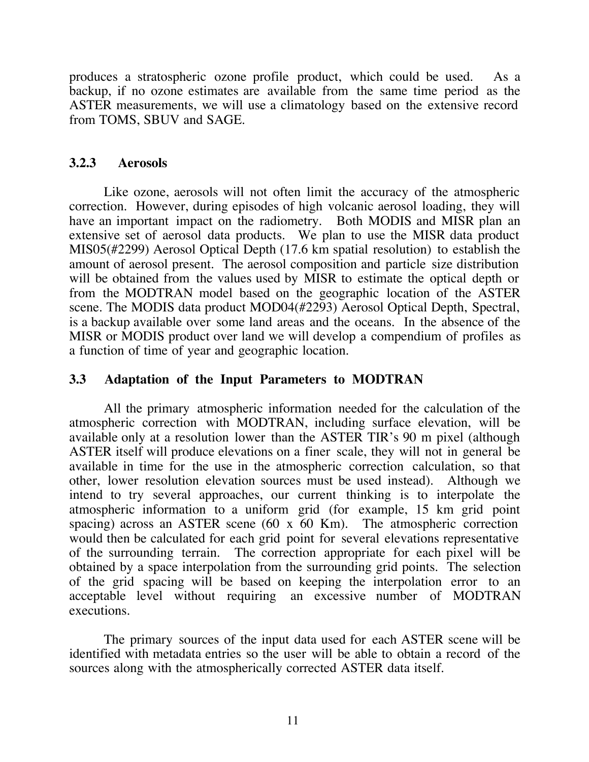produces a stratospheric ozone profile product, which could be used. As a backup, if no ozone estimates are available from the same time period as the ASTER measurements, we will use a climatology based on the extensive record from TOMS, SBUV and SAGE.

## **3.2.3 Aerosols**

Like ozone, aerosols will not often limit the accuracy of the atmospheric correction. However, during episodes of high volcanic aerosol loading, they will have an important impact on the radiometry. Both MODIS and MISR plan an extensive set of aerosol data products. We plan to use the MISR data product MIS05(#2299) Aerosol Optical Depth (17.6 km spatial resolution) to establish the amount of aerosol present. The aerosol composition and particle size distribution will be obtained from the values used by MISR to estimate the optical depth or from the MODTRAN model based on the geographic location of the ASTER scene. The MODIS data product MOD04(#2293) Aerosol Optical Depth, Spectral, is a backup available over some land areas and the oceans. In the absence of the MISR or MODIS product over land we will develop a compendium of profiles as a function of time of year and geographic location.

## **3.3 Adaptation of the Input Parameters to MODTRAN**

All the primary atmospheric information needed for the calculation of the atmospheric correction with MODTRAN, including surface elevation, will be available only at a resolution lower than the ASTER TIR's 90 m pixel (although ASTER itself will produce elevations on a finer scale, they will not in general be available in time for the use in the atmospheric correction calculation, so that other, lower resolution elevation sources must be used instead). Although we intend to try several approaches, our current thinking is to interpolate the atmospheric information to a uniform grid (for example, 15 km grid point spacing) across an ASTER scene (60 x 60 Km). The atmospheric correction would then be calculated for each grid point for several elevations representative of the surrounding terrain. The correction appropriate for each pixel will be obtained by a space interpolation from the surrounding grid points. The selection of the grid spacing will be based on keeping the interpolation error to an acceptable level without requiring an excessive number of MODTRAN executions.

The primary sources of the input data used for each ASTER scene will be identified with metadata entries so the user will be able to obtain a record of the sources along with the atmospherically corrected ASTER data itself.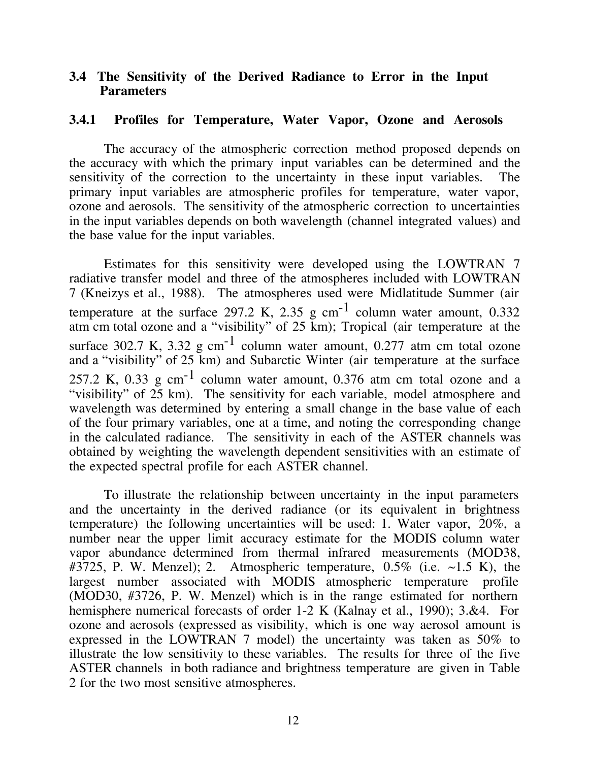#### **3.4 The Sensitivity of the Derived Radiance to Error in the Input Parameters**

#### **3.4.1 Profiles for Temperature, Water Vapor, Ozone and Aerosols**

The accuracy of the atmospheric correction method proposed depends on the accuracy with which the primary input variables can be determined and the sensitivity of the correction to the uncertainty in these input variables. The primary input variables are atmospheric profiles for temperature, water vapor, ozone and aerosols. The sensitivity of the atmospheric correction to uncertainties in the input variables depends on both wavelength (channel integrated values) and the base value for the input variables.

Estimates for this sensitivity were developed using the LOWTRAN 7 radiative transfer model and three of the atmospheres included with LOWTRAN 7 (Kneizys et al., 1988). The atmospheres used were Midlatitude Summer (air temperature at the surface 297.2 K, 2.35 g  $cm^{-1}$  column water amount, 0.332 atm cm total ozone and a "visibility" of 25 km); Tropical (air temperature at the surface 302.7 K, 3.32 g cm<sup>-1</sup> column water amount, 0.277 atm cm total ozone and a "visibility" of 25 km) and Subarctic Winter (air temperature at the surface 257.2 K, 0.33  $\text{g cm}^{-1}$  column water amount, 0.376 atm cm total ozone and a "visibility" of  $25 \text{ km}$ ). The sensitivity for each variable, model atmosphere and wavelength was determined by entering a small change in the base value of each of the four primary variables, one at a time, and noting the corresponding change in the calculated radiance. The sensitivity in each of the ASTER channels was obtained by weighting the wavelength dependent sensitivities with an estimate of the expected spectral profile for each ASTER channel.

To illustrate the relationship between uncertainty in the input parameters and the uncertainty in the derived radiance (or its equivalent in brightness temperature) the following uncertainties will be used: 1. Water vapor, 20%, a number near the upper limit accuracy estimate for the MODIS column water vapor abundance determined from thermal infrared measurements (MOD38, #3725, P. W. Menzel); 2. Atmospheric temperature,  $0.5\%$  (i.e.  $\sim$ 1.5 K), the largest number associated with MODIS atmospheric temperature profile (MOD30, #3726, P. W. Menzel) which is in the range estimated for northern hemisphere numerical forecasts of order 1-2 K (Kalnay et al., 1990); 3.&4. For ozone and aerosols (expressed as visibility, which is one way aerosol amount is expressed in the LOWTRAN 7 model) the uncertainty was taken as 50% to illustrate the low sensitivity to these variables. The results for three of the five ASTER channels in both radiance and brightness temperature are given in Table 2 for the two most sensitive atmospheres.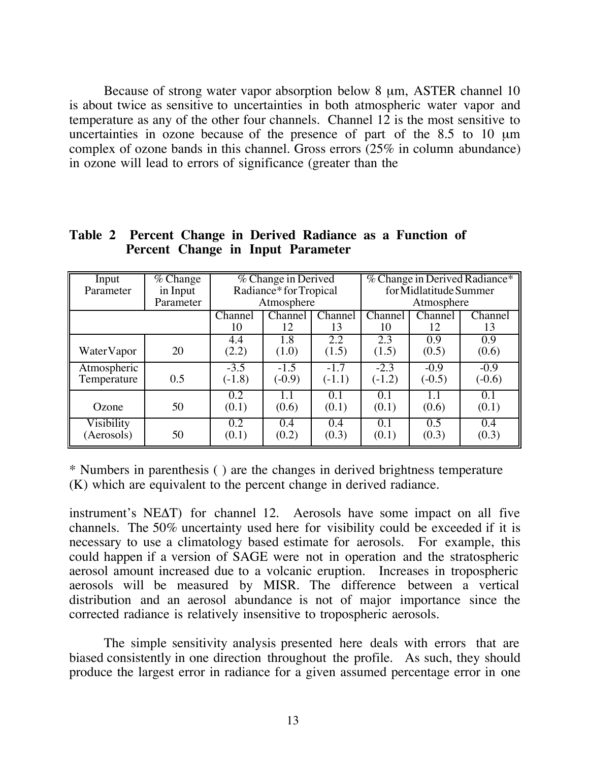Because of strong water vapor absorption below 8  $\mu$ m, ASTER channel 10 is about twice as sensitive to uncertainties in both atmospheric water vapor and temperature as any of the other four channels. Channel 12 is the most sensitive to uncertainties in ozone because of the presence of part of the  $8.5$  to 10  $\mu$ m complex of ozone bands in this channel. Gross errors (25% in column abundance) in ozone will lead to errors of significance (greater than the

| Input       | $\sqrt{\%}$ Change | % Change in Derived  |          |          | % Change in Derived Radiance* |          |                             |
|-------------|--------------------|----------------------|----------|----------|-------------------------------|----------|-----------------------------|
| Parameter   | in Input           | Radiance*forTropical |          |          | for Midlatitude Summer        |          |                             |
|             | Parameter          | Atmosphere           |          |          | Atmosphere                    |          |                             |
|             |                    | Channel              | Channel  | Channel  | Channel                       | Channel  | $\overline{\text{Channel}}$ |
|             |                    | 10                   | 12       | 13       | 10                            | 12       | 13                          |
|             |                    | 4.4                  | 1.8      | 2.2      | 2.3                           | 0.9      | 0.9                         |
| Water Vapor | 20                 | (2.2)                | (1.0)    | (1.5)    | (1.5)                         | (0.5)    | (0.6)                       |
| Atmospheric |                    | $-3.5$               | $-1.5$   | $-1.7$   | $-2.3$                        | $-0.9$   | $-0.9$                      |
| Temperature | 0.5                | $(-1.8)$             | $(-0.9)$ | $(-1.1)$ | $(-1.2)$                      | $(-0.5)$ | $(-0.6)$                    |
|             |                    | 0.2                  | 1.1      | 0.1      | 0.1                           | 1.1      | 0.1                         |
| Ozone       | 50                 | (0.1)                | (0.6)    | (0.1)    | (0.1)                         | (0.6)    | (0.1)                       |
| Visibility  |                    | 0.2                  | 0.4      | 0.4      | 0.1                           | 0.5      | 0.4                         |
| (Aerosols)  | 50                 | (0.1)                | (0.2)    | (0.3)    | (0.1)                         | (0.3)    | (0.3)                       |

**Table 2 Percent Change in Derived Radiance as a Function of Percent Change in Input Parameter**

\* Numbers in parenthesis ( ) are the changes in derived brightness temperature (K) which are equivalent to the percent change in derived radiance.

instrument's NEAT) for channel 12. Aerosols have some impact on all five channels. The 50% uncertainty used here for visibility could be exceeded if it is necessary to use a climatology based estimate for aerosols. For example, this could happen if a version of SAGE were not in operation and the stratospheric aerosol amount increased due to a volcanic eruption. Increases in tropospheric aerosols will be measured by MISR. The difference between a vertical distribution and an aerosol abundance is not of major importance since the corrected radiance is relatively insensitive to tropospheric aerosols.

The simple sensitivity analysis presented here deals with errors that are biased consistently in one direction throughout the profile. As such, they should produce the largest error in radiance for a given assumed percentage error in one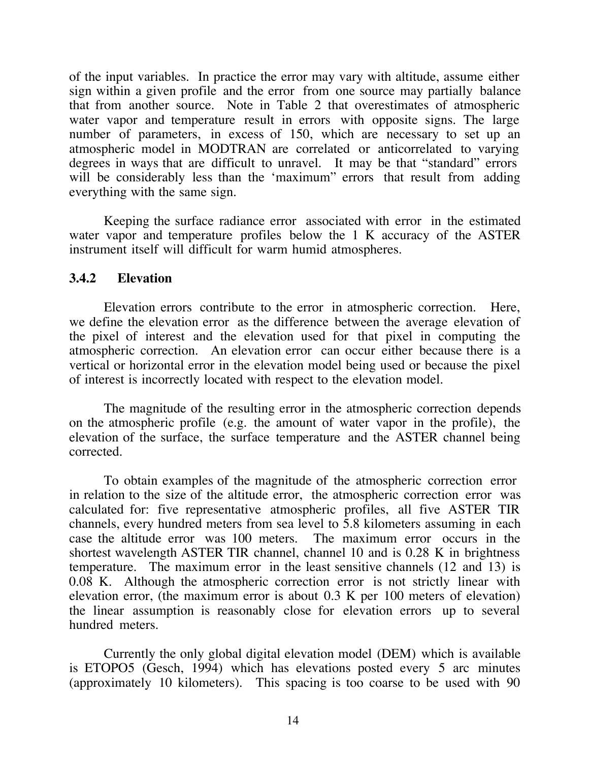of the input variables. In practice the error may vary with altitude, assume either sign within a given profile and the error from one source may partially balance that from another source. Note in Table 2 that overestimates of atmospheric water vapor and temperature result in errors with opposite signs. The large number of parameters, in excess of 150, which are necessary to set up an atmospheric model in MODTRAN are correlated or anticorrelated to varying degrees in ways that are difficult to unravel. It may be that "standard" errors will be considerably less than the 'maximum' errors that result from adding everything with the same sign.

Keeping the surface radiance error associated with error in the estimated water vapor and temperature profiles below the 1 K accuracy of the ASTER instrument itself will difficult for warm humid atmospheres.

## **3.4.2 Elevation**

Elevation errors contribute to the error in atmospheric correction. Here, we define the elevation error as the difference between the average elevation of the pixel of interest and the elevation used for that pixel in computing the atmospheric correction. An elevation error can occur either because there is a vertical or horizontal error in the elevation model being used or because the pixel of interest is incorrectly located with respect to the elevation model.

The magnitude of the resulting error in the atmospheric correction depends on the atmospheric profile (e.g. the amount of water vapor in the profile), the elevation of the surface, the surface temperature and the ASTER channel being corrected.

To obtain examples of the magnitude of the atmospheric correction error in relation to the size of the altitude error, the atmospheric correction error was calculated for: five representative atmospheric profiles, all five ASTER TIR channels, every hundred meters from sea level to 5.8 kilometers assuming in each case the altitude error was 100 meters. The maximum error occurs in the shortest wavelength ASTER TIR channel, channel 10 and is 0.28 K in brightness temperature. The maximum error in the least sensitive channels (12 and 13) is 0.08 K. Although the atmospheric correction error is not strictly linear with elevation error, (the maximum error is about 0.3 K per 100 meters of elevation) the linear assumption is reasonably close for elevation errors up to several hundred meters.

Currently the only global digital elevation model (DEM) which is available is ETOPO5 (Gesch, 1994) which has elevations posted every 5 arc minutes (approximately 10 kilometers). This spacing is too coarse to be used with 90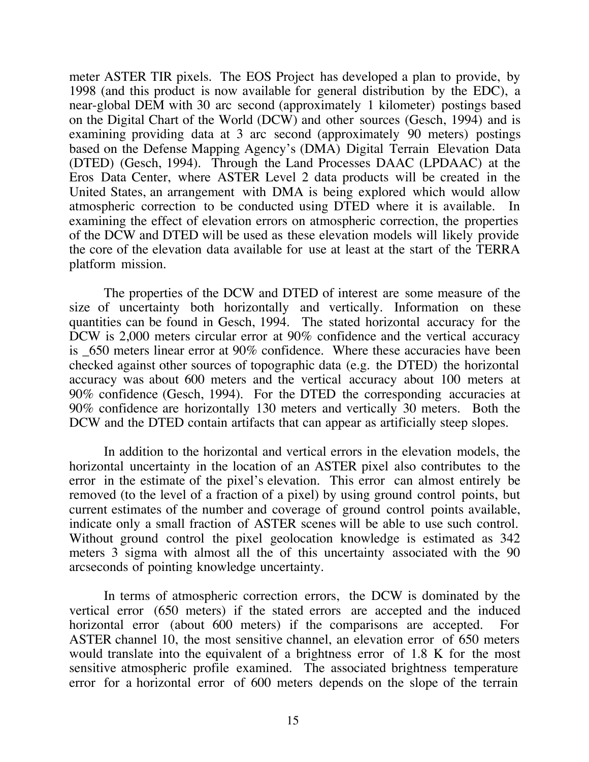meter ASTER TIR pixels. The EOS Project has developed a plan to provide, by 1998 (and this product is now available for general distribution by the EDC), a near-global DEM with 30 arc second (approximately 1 kilometer) postings based on the Digital Chart of the World (DCW) and other sources (Gesch, 1994) and is examining providing data at 3 arc second (approximately 90 meters) postings based on the Defense Mapping Agency's (DMA) Digital Terrain Elevation Data (DTED) (Gesch, 1994). Through the Land Processes DAAC (LPDAAC) at the Eros Data Center, where ASTER Level 2 data products will be created in the United States, an arrangement with DMA is being explored which would allow atmospheric correction to be conducted using DTED where it is available. In examining the effect of elevation errors on atmospheric correction, the properties of the DCW and DTED will be used as these elevation models will likely provide the core of the elevation data available for use at least at the start of the TERRA platform mission.

The properties of the DCW and DTED of interest are some measure of the size of uncertainty both horizontally and vertically. Information on these quantities can be found in Gesch, 1994. The stated horizontal accuracy for the DCW is 2,000 meters circular error at 90% confidence and the vertical accuracy is  $650$  meters linear error at 90% confidence. Where these accuracies have been checked against other sources of topographic data (e.g. the DTED) the horizontal accuracy was about 600 meters and the vertical accuracy about 100 meters at 90% confidence (Gesch, 1994). For the DTED the corresponding accuracies at 90% confidence are horizontally 130 meters and vertically 30 meters. Both the DCW and the DTED contain artifacts that can appear as artificially steep slopes.

In addition to the horizontal and vertical errors in the elevation models, the horizontal uncertainty in the location of an ASTER pixel also contributes to the error in the estimate of the pixel's elevation. This error can almost entirely be removed (to the level of a fraction of a pixel) by using ground control points, but current estimates of the number and coverage of ground control points available, indicate only a small fraction of ASTER scenes will be able to use such control. Without ground control the pixel geolocation knowledge is estimated as 342 meters 3 sigma with almost all the of this uncertainty associated with the 90 arcseconds of pointing knowledge uncertainty.

In terms of atmospheric correction errors, the DCW is dominated by the vertical error (650 meters) if the stated errors are accepted and the induced horizontal error (about 600 meters) if the comparisons are accepted. For ASTER channel 10, the most sensitive channel, an elevation error of 650 meters would translate into the equivalent of a brightness error of 1.8 K for the most sensitive atmospheric profile examined. The associated brightness temperature error for a horizontal error of 600 meters depends on the slope of the terrain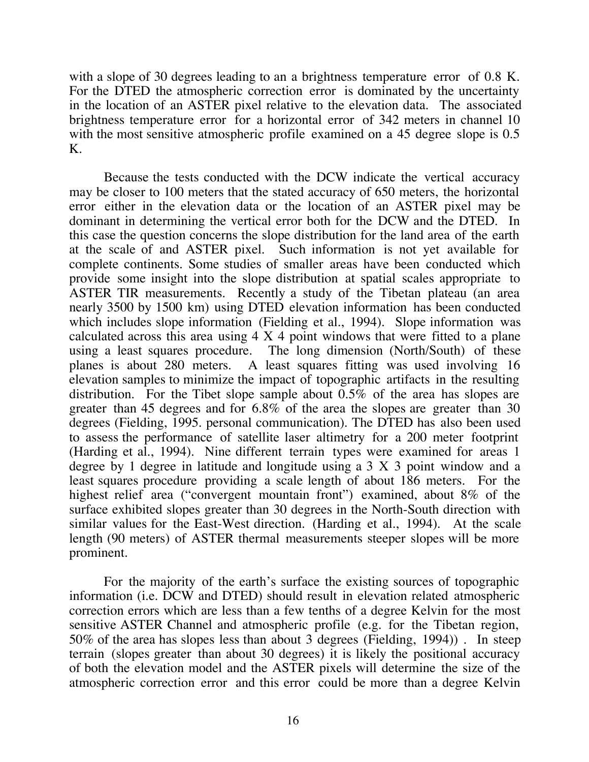with a slope of 30 degrees leading to an a brightness temperature error of 0.8 K. For the DTED the atmospheric correction error is dominated by the uncertainty in the location of an ASTER pixel relative to the elevation data. The associated brightness temperature error for a horizontal error of 342 meters in channel 10 with the most sensitive atmospheric profile examined on a 45 degree slope is 0.5 K.

Because the tests conducted with the DCW indicate the vertical accuracy may be closer to 100 meters that the stated accuracy of 650 meters, the horizontal error either in the elevation data or the location of an ASTER pixel may be dominant in determining the vertical error both for the DCW and the DTED. In this case the question concerns the slope distribution for the land area of the earth at the scale of and ASTER pixel. Such information is not yet available for complete continents. Some studies of smaller areas have been conducted which provide some insight into the slope distribution at spatial scales appropriate to ASTER TIR measurements. Recently a study of the Tibetan plateau (an area nearly 3500 by 1500 km) using DTED elevation information has been conducted which includes slope information (Fielding et al., 1994). Slope information was calculated across this area using  $4 \times 4$  point windows that were fitted to a plane using a least squares procedure. The long dimension (North/South) of these planes is about 280 meters. A least squares fitting was used involving 16 elevation samples to minimize the impact of topographic artifacts in the resulting distribution. For the Tibet slope sample about  $0.5\%$  of the area has slopes are greater than 45 degrees and for 6.8% of the area the slopes are greater than 30 degrees (Fielding, 1995. personal communication). The DTED has also been used to assess the performance of satellite laser altimetry for a 200 meter footprint (Harding et al., 1994). Nine different terrain types were examined for areas 1 degree by 1 degree in latitude and longitude using a 3 X 3 point window and a least squares procedure providing a scale length of about 186 meters. For the highest relief area ("convergent mountain front") examined, about 8% of the surface exhibited slopes greater than 30 degrees in the North-South direction with similar values for the East-West direction. (Harding et al., 1994). At the scale length (90 meters) of ASTER thermal measurements steeper slopes will be more prominent.

For the majority of the earth's surface the existing sources of topographic information (i.e. DCW and DTED) should result in elevation related atmospheric correction errors which are less than a few tenths of a degree Kelvin for the most sensitive ASTER Channel and atmospheric profile (e.g. for the Tibetan region, 50% of the area has slopes less than about 3 degrees (Fielding, 1994)) . In steep terrain (slopes greater than about 30 degrees) it is likely the positional accuracy of both the elevation model and the ASTER pixels will determine the size of the atmospheric correction error and this error could be more than a degree Kelvin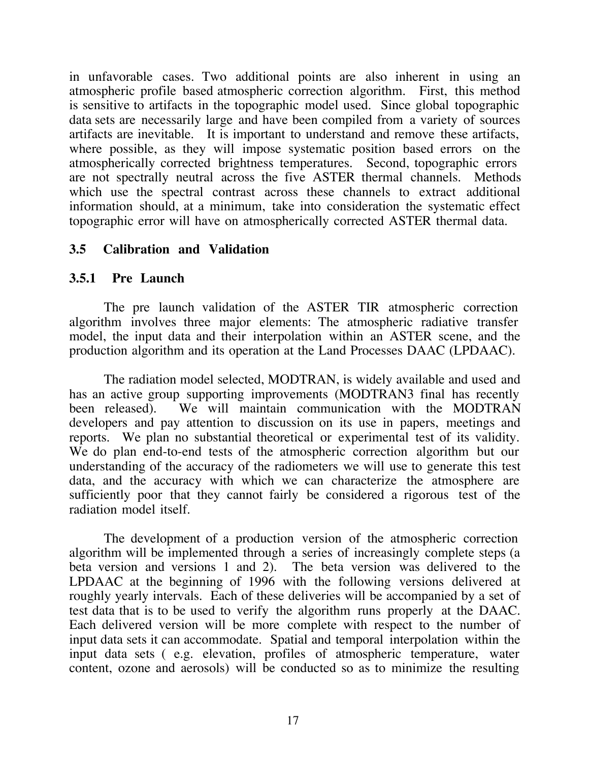in unfavorable cases. Two additional points are also inherent in using an atmospheric profile based atmospheric correction algorithm. First, this method is sensitive to artifacts in the topographic model used. Since global topographic data sets are necessarily large and have been compiled from a variety of sources artifacts are inevitable. It is important to understand and remove these artifacts, where possible, as they will impose systematic position based errors on the atmospherically corrected brightness temperatures. Second, topographic errors are not spectrally neutral across the five ASTER thermal channels. Methods which use the spectral contrast across these channels to extract additional information should, at a minimum, take into consideration the systematic effect topographic error will have on atmospherically corrected ASTER thermal data.

## **3.5 Calibration and Validation**

#### **3.5.1 Pre Launch**

The pre launch validation of the ASTER TIR atmospheric correction algorithm involves three major elements: The atmospheric radiative transfer model, the input data and their interpolation within an ASTER scene, and the production algorithm and its operation at the Land Processes DAAC (LPDAAC).

The radiation model selected, MODTRAN, is widely available and used and has an active group supporting improvements (MODTRAN3 final has recently been released). We will maintain communication with the MODTRAN developers and pay attention to discussion on its use in papers, meetings and reports. We plan no substantial theoretical or experimental test of its validity. We do plan end-to-end tests of the atmospheric correction algorithm but our understanding of the accuracy of the radiometers we will use to generate this test data, and the accuracy with which we can characterize the atmosphere are sufficiently poor that they cannot fairly be considered a rigorous test of the radiation model itself.

The development of a production version of the atmospheric correction algorithm will be implemented through a series of increasingly complete steps (a beta version and versions 1 and 2). The beta version was delivered to the LPDAAC at the beginning of 1996 with the following versions delivered at roughly yearly intervals. Each of these deliveries will be accompanied by a set of test data that is to be used to verify the algorithm runs properly at the DAAC. Each delivered version will be more complete with respect to the number of input data sets it can accommodate. Spatial and temporal interpolation within the input data sets ( e.g. elevation, profiles of atmospheric temperature, water content, ozone and aerosols) will be conducted so as to minimize the resulting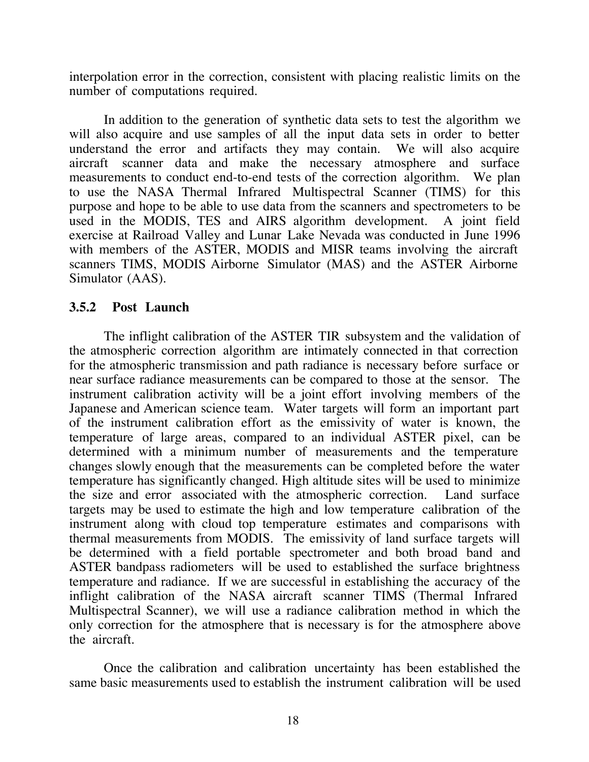interpolation error in the correction, consistent with placing realistic limits on the number of computations required.

In addition to the generation of synthetic data sets to test the algorithm we will also acquire and use samples of all the input data sets in order to better understand the error and artifacts they may contain. We will also acquire aircraft scanner data and make the necessary atmosphere and surface measurements to conduct end-to-end tests of the correction algorithm. We plan to use the NASA Thermal Infrared Multispectral Scanner (TIMS) for this purpose and hope to be able to use data from the scanners and spectrometers to be used in the MODIS, TES and AIRS algorithm development. A joint field exercise at Railroad Valley and Lunar Lake Nevada was conducted in June 1996 with members of the ASTER, MODIS and MISR teams involving the aircraft scanners TIMS, MODIS Airborne Simulator (MAS) and the ASTER Airborne Simulator (AAS).

## **3.5.2 Post Launch**

The inflight calibration of the ASTER TIR subsystem and the validation of the atmospheric correction algorithm are intimately connected in that correction for the atmospheric transmission and path radiance is necessary before surface or near surface radiance measurements can be compared to those at the sensor. The instrument calibration activity will be a joint effort involving members of the Japanese and American science team. Water targets will form an important part of the instrument calibration effort as the emissivity of water is known, the temperature of large areas, compared to an individual ASTER pixel, can be determined with a minimum number of measurements and the temperature changes slowly enough that the measurements can be completed before the water temperature has significantly changed. High altitude sites will be used to minimize the size and error associated with the atmospheric correction. Land surface targets may be used to estimate the high and low temperature calibration of the instrument along with cloud top temperature estimates and comparisons with thermal measurements from MODIS. The emissivity of land surface targets will be determined with a field portable spectrometer and both broad band and ASTER bandpass radiometers will be used to established the surface brightness temperature and radiance. If we are successful in establishing the accuracy of the inflight calibration of the NASA aircraft scanner TIMS (Thermal Infrared Multispectral Scanner), we will use a radiance calibration method in which the only correction for the atmosphere that is necessary is for the atmosphere above the aircraft.

Once the calibration and calibration uncertainty has been established the same basic measurements used to establish the instrument calibration will be used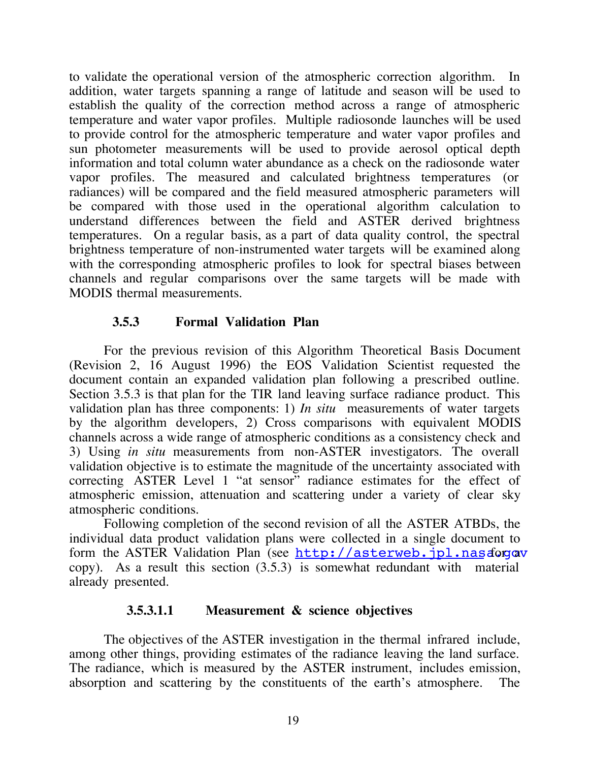to validate the operational version of the atmospheric correction algorithm. In addition, water targets spanning a range of latitude and season will be used to establish the quality of the correction method across a range of atmospheric temperature and water vapor profiles. Multiple radiosonde launches will be used to provide control for the atmospheric temperature and water vapor profiles and sun photometer measurements will be used to provide aerosol optical depth information and total column water abundance as a check on the radiosonde water vapor profiles. The measured and calculated brightness temperatures (or radiances) will be compared and the field measured atmospheric parameters will be compared with those used in the operational algorithm calculation to understand differences between the field and ASTER derived brightness temperatures. On a regular basis, as a part of data quality control, the spectral brightness temperature of non-instrumented water targets will be examined along with the corresponding atmospheric profiles to look for spectral biases between channels and regular comparisons over the same targets will be made with MODIS thermal measurements.

## **3.5.3 Formal Validation Plan**

For the previous revision of this Algorithm Theoretical Basis Document (Revision 2, 16 August 1996) the EOS Validation Scientist requested the document contain an expanded validation plan following a prescribed outline. Section 3.5.3 is that plan for the TIR land leaving surface radiance product. This validation plan has three components: 1) *In situ* measurements of water targets by the algorithm developers, 2) Cross comparisons with equivalent MODIS channels across a wide range of atmospheric conditions as a consistency check and 3) Using *in situ* measurements from non-ASTER investigators. The overall validation objective is to estimate the magnitude of the uncertainty associated with correcting ASTER Level 1 "at sensor" radiance estimates for the effect of atmospheric emission, attenuation and scattering under a variety of clear sky atmospheric conditions.

Following completion of the second revision of all the ASTER ATBDs, the individual data product validation plans were collected in a single document to form the ASTER Validation Plan (see http://asterweb.jpl.nasa.gov copy). As a result this section (3.5.3) is somewhat redundant with material already presented.

#### **3.5.3.1.1 Measurement & science objectives**

The objectives of the ASTER investigation in the thermal infrared include, among other things, providing estimates of the radiance leaving the land surface. The radiance, which is measured by the ASTER instrument, includes emission, absorption and scattering by the constituents of the earth's atmosphere. The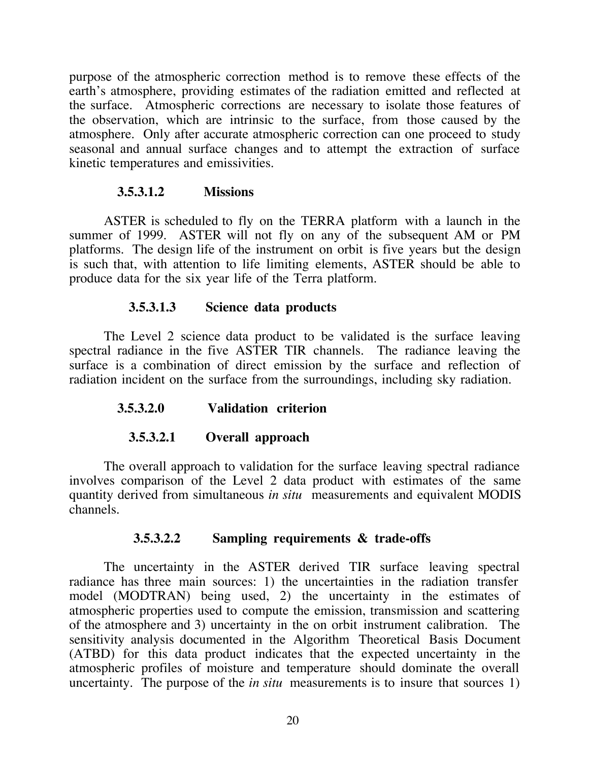purpose of the atmospheric correction method is to remove these effects of the earth's atmosphere, providing estimates of the radiation emitted and reflected at the surface. Atmospheric corrections are necessary to isolate those features of the observation, which are intrinsic to the surface, from those caused by the atmosphere. Only after accurate atmospheric correction can one proceed to study seasonal and annual surface changes and to attempt the extraction of surface kinetic temperatures and emissivities.

#### **3.5.3.1.2 Missions**

ASTER is scheduled to fly on the TERRA platform with a launch in the summer of 1999. ASTER will not fly on any of the subsequent AM or PM platforms. The design life of the instrument on orbit is five years but the design is such that, with attention to life limiting elements, ASTER should be able to produce data for the six year life of the Terra platform.

#### **3.5.3.1.3 Science data products**

The Level 2 science data product to be validated is the surface leaving spectral radiance in the five ASTER TIR channels. The radiance leaving the surface is a combination of direct emission by the surface and reflection of radiation incident on the surface from the surroundings, including sky radiation.

#### **3.5.3.2.0 Validation criterion**

#### **3.5.3.2.1 Overall approach**

The overall approach to validation for the surface leaving spectral radiance involves comparison of the Level 2 data product with estimates of the same quantity derived from simultaneous *in situ* measurements and equivalent MODIS channels.

#### **3.5.3.2.2 Sampling requirements & trade-offs**

The uncertainty in the ASTER derived TIR surface leaving spectral radiance has three main sources: 1) the uncertainties in the radiation transfer model (MODTRAN) being used, 2) the uncertainty in the estimates of atmospheric properties used to compute the emission, transmission and scattering of the atmosphere and 3) uncertainty in the on orbit instrument calibration. The sensitivity analysis documented in the Algorithm Theoretical Basis Document (ATBD) for this data product indicates that the expected uncertainty in the atmospheric profiles of moisture and temperature should dominate the overall uncertainty. The purpose of the *in situ* measurements is to insure that sources 1)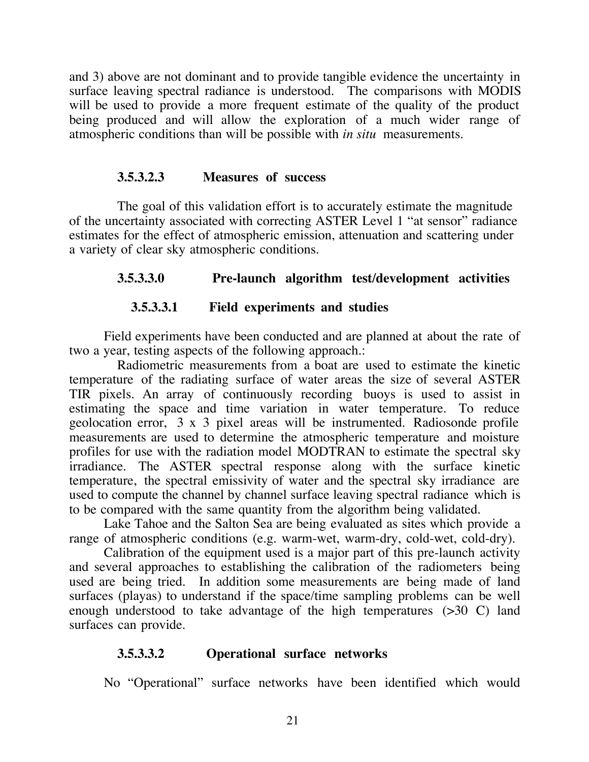and 3) above are not dominant and to provide tangible evidence the uncertainty in surface leaving spectral radiance is understood. The comparisons with MODIS will be used to provide a more frequent estimate of the quality of the product being produced and will allow the exploration of a much wider range of atmospheric conditions than will be possible with *in situ* measurements.

## **3.5.3.2.3 Measures of success**

The goal of this validation effort is to accurately estimate the magnitude of the uncertainty associated with correcting ASTER Level 1 "at sensor" radiance estimates for the effect of atmospheric emission, attenuation and scattering under a variety of clear sky atmospheric conditions.

# **3.5.3.3.0 Pre-launch algorithm test/development activities**

# **3.5.3.3.1 Field experiments and studies**

Field experiments have been conducted and are planned at about the rate of two a year, testing aspects of the following approach.:

Radiometric measurements from a boat are used to estimate the kinetic temperature of the radiating surface of water areas the size of several ASTER TIR pixels. An array of continuously recording buoys is used to assist in estimating the space and time variation in water temperature. To reduce geolocation error, 3 x 3 pixel areas will be instrumented. Radiosonde profile measurements are used to determine the atmospheric temperature and moisture profiles for use with the radiation model MODTRAN to estimate the spectral sky irradiance. The ASTER spectral response along with the surface kinetic temperature, the spectral emissivity of water and the spectral sky irradiance are used to compute the channel by channel surface leaving spectral radiance which is to be compared with the same quantity from the algorithm being validated.

Lake Tahoe and the Salton Sea are being evaluated as sites which provide a range of atmospheric conditions (e.g. warm-wet, warm-dry, cold-wet, cold-dry).

Calibration of the equipment used is a major part of this pre-launch activity and several approaches to establishing the calibration of the radiometers being used are being tried. In addition some measurements are being made of land surfaces (playas) to understand if the space/time sampling problems can be well enough understood to take advantage of the high temperatures (>30 C) land surfaces can provide.

# **3.5.3.3.2 Operational surface networks**

No "Operational" surface networks have been identified which would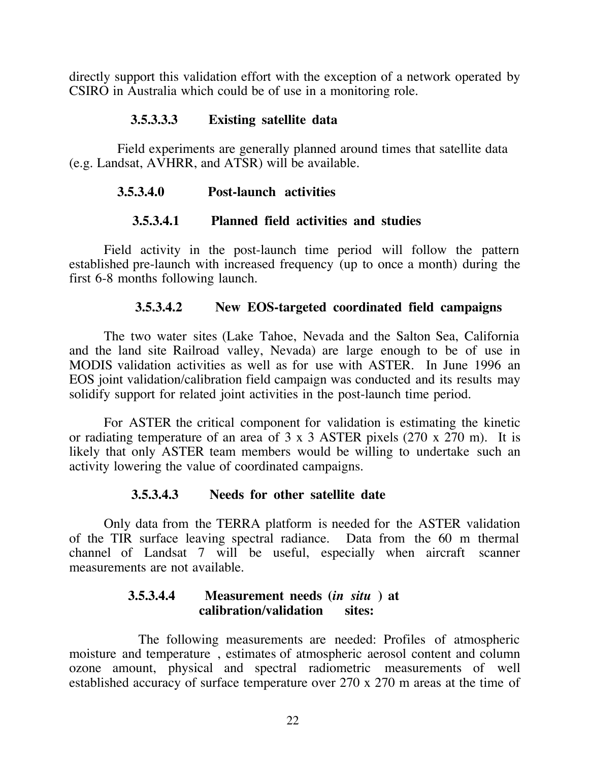directly support this validation effort with the exception of a network operated by CSIRO in Australia which could be of use in a monitoring role.

# **3.5.3.3.3 Existing satellite data**

Field experiments are generally planned around times that satellite data (e.g. Landsat, AVHRR, and ATSR) will be available.

#### **3.5.3.4.0 Post-launch activities**

#### **3.5.3.4.1 Planned field activities and studies**

Field activity in the post-launch time period will follow the pattern established pre-launch with increased frequency (up to once a month) during the first 6-8 months following launch.

#### **3.5.3.4.2 New EOS-targeted coordinated field campaigns**

The two water sites (Lake Tahoe, Nevada and the Salton Sea, California and the land site Railroad valley, Nevada) are large enough to be of use in MODIS validation activities as well as for use with ASTER. In June 1996 an EOS joint validation/calibration field campaign was conducted and its results may solidify support for related joint activities in the post-launch time period.

For ASTER the critical component for validation is estimating the kinetic or radiating temperature of an area of 3 x 3 ASTER pixels (270 x 270 m). It is likely that only ASTER team members would be willing to undertake such an activity lowering the value of coordinated campaigns.

#### **3.5.3.4.3 Needs for other satellite date**

Only data from the TERRA platform is needed for the ASTER validation of the TIR surface leaving spectral radiance. Data from the 60 m thermal channel of Landsat 7 will be useful, especially when aircraft scanner measurements are not available.

#### **3.5.3.4.4 Measurement needs (***in situ* **) at calibration/validation sites:**

The following measurements are needed: Profiles of atmospheric moisture and temperature , estimates of atmospheric aerosol content and column ozone amount, physical and spectral radiometric measurements of well established accuracy of surface temperature over 270 x 270 m areas at the time of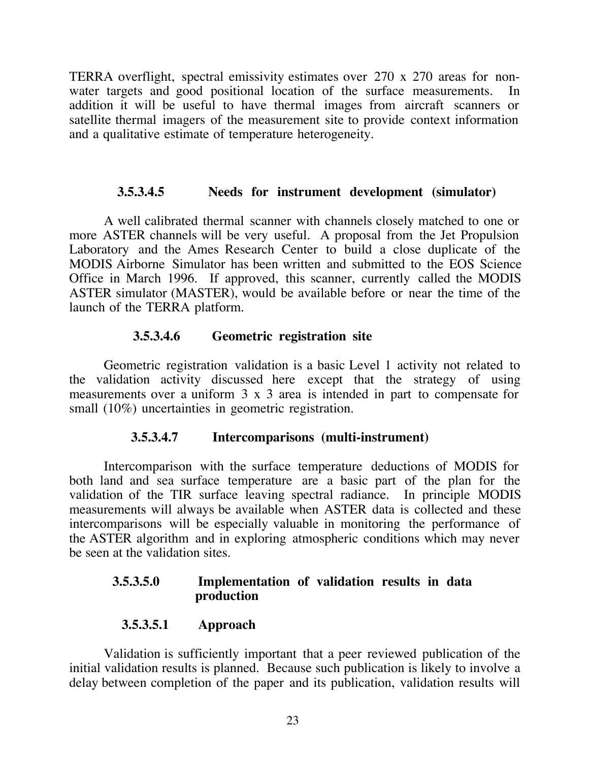TERRA overflight, spectral emissivity estimates over 270 x 270 areas for nonwater targets and good positional location of the surface measurements. In addition it will be useful to have thermal images from aircraft scanners or satellite thermal imagers of the measurement site to provide context information and a qualitative estimate of temperature heterogeneity.

# **3.5.3.4.5 Needs for instrument development (simulator)**

A well calibrated thermal scanner with channels closely matched to one or more ASTER channels will be very useful. A proposal from the Jet Propulsion Laboratory and the Ames Research Center to build a close duplicate of the MODIS Airborne Simulator has been written and submitted to the EOS Science Office in March 1996. If approved, this scanner, currently called the MODIS ASTER simulator (MASTER), would be available before or near the time of the launch of the TERRA platform.

# **3.5.3.4.6 Geometric registration site**

Geometric registration validation is a basic Level 1 activity not related to the validation activity discussed here except that the strategy of using measurements over a uniform 3 x 3 area is intended in part to compensate for small (10%) uncertainties in geometric registration.

# **3.5.3.4.7 Intercomparisons (multi-instrument)**

Intercomparison with the surface temperature deductions of MODIS for both land and sea surface temperature are a basic part of the plan for the validation of the TIR surface leaving spectral radiance. In principle MODIS measurements will always be available when ASTER data is collected and these intercomparisons will be especially valuable in monitoring the performance of the ASTER algorithm and in exploring atmospheric conditions which may never be seen at the validation sites.

# **3.5.3.5.0 Implementation of validation results in data production**

# **3.5.3.5.1 Approach**

Validation is sufficiently important that a peer reviewed publication of the initial validation results is planned. Because such publication is likely to involve a delay between completion of the paper and its publication, validation results will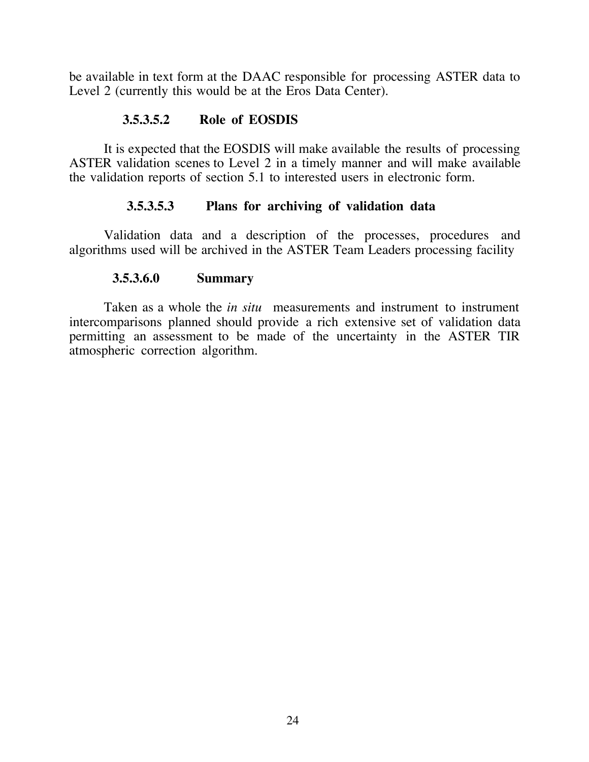be available in text form at the DAAC responsible for processing ASTER data to Level 2 (currently this would be at the Eros Data Center).

# **3.5.3.5.2 Role of EOSDIS**

It is expected that the EOSDIS will make available the results of processing ASTER validation scenes to Level 2 in a timely manner and will make available the validation reports of section 5.1 to interested users in electronic form.

# **3.5.3.5.3 Plans for archiving of validation data**

Validation data and a description of the processes, procedures and algorithms used will be archived in the ASTER Team Leaders processing facility

## **3.5.3.6.0 Summary**

Taken as a whole the *in situ* measurements and instrument to instrument intercomparisons planned should provide a rich extensive set of validation data permitting an assessment to be made of the uncertainty in the ASTER TIR atmospheric correction algorithm.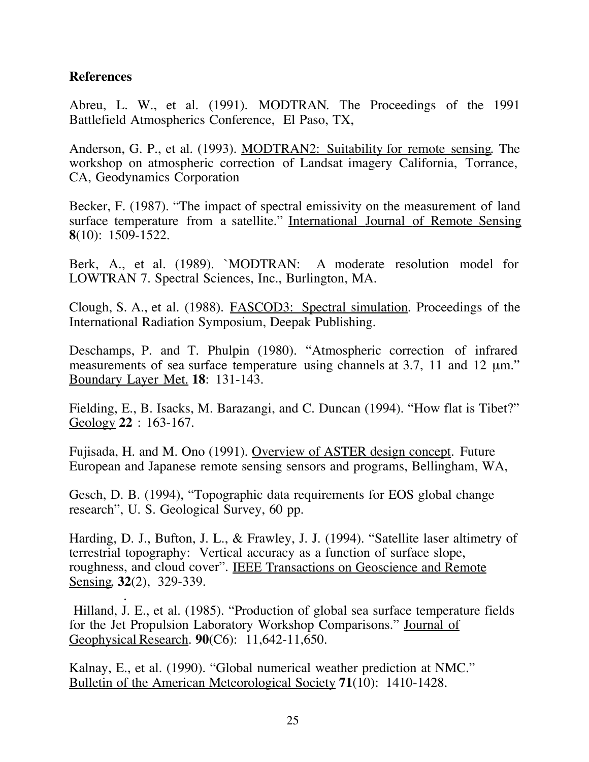## **References**

Abreu, L. W., et al. (1991). MODTRAN. The Proceedings of the 1991 Battlefield Atmospherics Conference, El Paso, TX,

Anderson, G. P., et al. (1993). MODTRAN2: Suitability for remote sensing. The workshop on atmospheric correction of Landsat imagery California, Torrance, CA, Geodynamics Corporation

Becker, F. (1987). "The impact of spectral emissivity on the measurement of land surface temperature from a satellite." International Journal of Remote Sensing **8**(10): 1509-1522.

Berk, A., et al. (1989). `MODTRAN: A moderate resolution model for LOWTRAN 7. Spectral Sciences, Inc., Burlington, MA.

Clough, S. A., et al. (1988). FASCOD3: Spectral simulation . Proceedings of the International Radiation Symposium, Deepak Publishing.

Deschamps, P. and T. Phulpin (1980). "Atmospheric correction of infrared measurements of sea surface temperature using channels at 3.7, 11 and 12  $\mu$ m." Boundary Layer Met. **18**: 131-143.

Fielding, E., B. Isacks, M. Barazangi, and C. Duncan (1994). "How flat is Tibet?" Geology **22** : 163-167.

Fujisada, H. and M. Ono (1991). Overview of ASTER design concept. Future European and Japanese remote sensing sensors and programs, Bellingham, WA,

Gesch, D. B. (1994), "Topographic data requirements for EOS global change research", U. S. Geological Survey, 60 pp.

Harding, D. J., Bufton, J. L., & Frawley, J. J. (1994). "Satellite laser altimetry of terrestrial topography: Vertical accuracy as a function of surface slope, roughness, and cloud cover". IEEE Transactions on Geoscience and Remote Sensing 32(2), 329-339.

 . Hilland, J. E., et al. (1985). "Production of global sea surface temperature fields for the Jet Propulsion Laboratory Workshop Comparisons." Journal of Geophysical Research. **90**(C6): 11,642-11,650.

Kalnay, E., et al. (1990). "Global numerical weather prediction at NMC." Bulletin of the American Meteorological Society **71**(10): 1410-1428.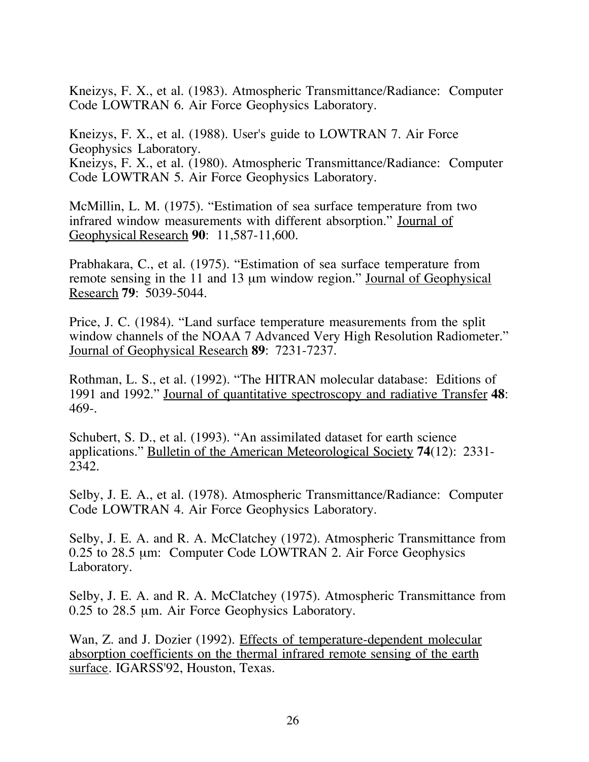Kneizys, F. X., et al. (1983). Atmospheric Transmittance/Radiance: Computer Code LOWTRAN 6. Air Force Geophysics Laboratory.

Kneizys, F. X., et al. (1988). User's guide to LOWTRAN 7. Air Force Geophysics Laboratory. Kneizys, F. X., et al. (1980). Atmospheric Transmittance/Radiance: Computer Code LOWTRAN 5. Air Force Geophysics Laboratory.

McMillin, L. M. (1975). "Estimation of sea surface temperature from two infrared window measurements with different absorption." Journal of Geophysical Research **90**: 11,587-11,600.

Prabhakara, C., et al. (1975). "Estimation of sea surface temperature from remote sensing in the 11 and 13 µm window region." Journal of Geophysical Research **79**: 5039-5044.

Price, J. C. (1984). "Land surface temperature measurements from the split window channels of the NOAA 7 Advanced Very High Resolution Radiometer." Journal of Geophysical Research **89**: 7231-7237.

Rothman, L. S., et al. (1992). "The HITRAN molecular database: Editions of 1991 and 1992." Journal of quantitative spectroscopy and radiative Transfer **48**: 469-.

Schubert, S. D., et al. (1993). "An assimilated dataset for earth science applications." Bulletin of the American Meteorological Society **74**(12): 2331- 2342.

Selby, J. E. A., et al. (1978). Atmospheric Transmittance/Radiance: Computer Code LOWTRAN 4. Air Force Geophysics Laboratory.

Selby, J. E. A. and R. A. McClatchey (1972). Atmospheric Transmittance from 0.25 to 28.5 µm: Computer Code LOWTRAN 2. Air Force Geophysics Laboratory.

Selby, J. E. A. and R. A. McClatchey (1975). Atmospheric Transmittance from 0.25 to 28.5 µm. Air Force Geophysics Laboratory.

Wan, Z. and J. Dozier (1992). Effects of temperature-dependent molecular absorption coefficients on the thermal infrared remote sensing of the earth surface. IGARSS'92, Houston, Texas.